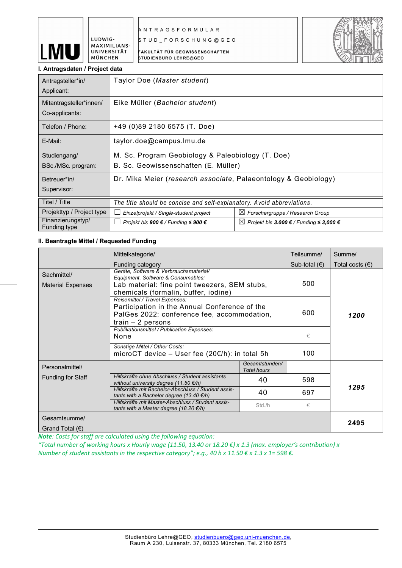

A N T R A G S F O R M U L A R

S T U D \_ F O R S C H U N G @ G E O

FAKULTÄT FÜR GEOWISSENSCHAFTEN STUDIENBÜRO LEHRE@GEO



## I. Antragsdaten / Project data

LUDWIG-MAXIMILIANS-UNIVERSITÄT MÜNCHEN

| Antragsteller*in/<br>Applicant:           | Taylor Doe (Master student)                                                               |                                                     |  |
|-------------------------------------------|-------------------------------------------------------------------------------------------|-----------------------------------------------------|--|
| Mitantragsteller*innen/<br>Co-applicants: | Eike Müller (Bachelor student)                                                            |                                                     |  |
| Telefon / Phone:                          | +49 (0)89 2180 6575 (T. Doe)                                                              |                                                     |  |
| E-Mail:                                   | taylor.doe@campus.lmu.de                                                                  |                                                     |  |
| Studiengang/<br>BSc./MSc. program:        | M. Sc. Program Geobiology & Paleobiology (T. Doe)<br>B. Sc. Geowissenschaften (E. Müller) |                                                     |  |
| Betreuer*in/<br>Supervisor:               | Dr. Mika Meier (research associate, Palaeontology & Geobiology)                           |                                                     |  |
| Titel / Title                             | The title should be concise and self-explanatory. Avoid abbreviations.                    |                                                     |  |
| Projekttyp / Project type                 | Einzelprojekt / Single-student project                                                    | $\boxtimes$ Forschergruppe / Research Group         |  |
| Finanzierungstyp/<br>Funding type         | Projekt bis 900 € / Funding $\leq 900 \in$                                                | $\boxtimes$ Projekt bis 3.000 € / Funding ≤ 3,000 € |  |

# II. Beantragte Mittel / Requested Funding

|                                         | Mittelkategorie/                                                                                                                                                      |                                      | Teilsumme/      | Summe/                   |
|-----------------------------------------|-----------------------------------------------------------------------------------------------------------------------------------------------------------------------|--------------------------------------|-----------------|--------------------------|
|                                         | Funding category                                                                                                                                                      |                                      | Sub-total $(€)$ | Total costs $(\epsilon)$ |
| Sachmittel/<br><b>Material Expenses</b> | Geräte, Software & Verbrauchsmaterial/<br>Equipment, Software & Consumables:<br>Lab material: fine point tweezers, SEM stubs,<br>chemicals (formalin, buffer, iodine) |                                      | 500             |                          |
|                                         | Reisemittel / Travel Expenses:<br>Participation in the Annual Conference of the<br>PalGes 2022: conference fee, accommodation,<br>$train - 2 persons$                 |                                      | 600             | 1200                     |
|                                         | Publikationsmittel / Publication Expenses:<br>None                                                                                                                    |                                      | €               |                          |
|                                         | Sonstige Mittel / Other Costs:<br>microCT device - User fee (20€/h): in total 5h                                                                                      | 100                                  |                 |                          |
| Personalmittel/                         |                                                                                                                                                                       | Gesamtstunden/<br><b>Total hours</b> |                 |                          |
| Funding for Staff                       | Hilfskräfte ohne Abschluss / Student assistants<br>without university degree (11.50 $\not\in$ /h)                                                                     | 40                                   | 598             |                          |
|                                         | Hilfskräfte mit Bachelor-Abschluss / Student assis-<br>tants with a Bachelor degree (13.40 $\epsilon$ /h)                                                             | 40                                   | 697             | 1295                     |
|                                         | Hilfskräfte mit Master-Abschluss / Student assis-<br>tants with a Master degree (18.20 $\varepsilon$ /h)                                                              | Std./h                               | €               |                          |
| Gesamtsumme/                            |                                                                                                                                                                       |                                      |                 | 2495                     |
| Grand Total $(\epsilon)$                |                                                                                                                                                                       |                                      |                 |                          |

*Note: Costs for staff are calculated using the following equation:*

*"Total number of working hours x Hourly wage (11.50, 13.40 or 18.20 €) x 1.3 (max. employer's contribution) x Number of student assistants in the respective category"; e.g., 40 h x 11.50 € x 1.3 x 1= 598 €.*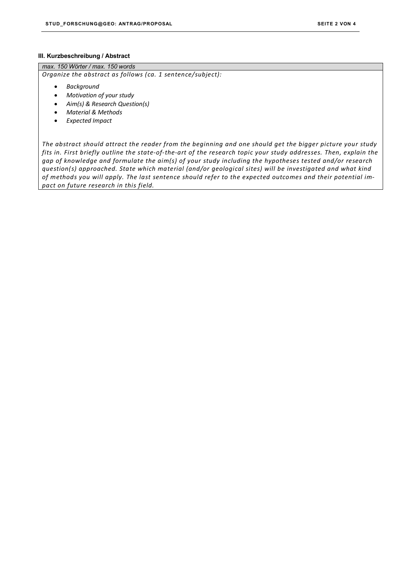#### III. Kurzbeschreibung / Abstract

*max. 150 Wörter / max. 150 words*

*Organize the abstract as follows (ca. 1 sentence/subject):* 

- *Background*
- *Motivation of your study*
- *Aim(s) & Research Question(s)*
- *Material & Methods*
- *Expected Impact*

*The abstract should attract the reader from the beginning and one should get the bigger picture your study fits in. First briefly outline the state-of-the-art of the research topic your study addresses. Then, explain the gap of knowledge and formulate the aim(s) of your study including the hypotheses tested and/or research question(s) approached. State which material (and/or geological sites) will be investigated and what kind of methods you will apply. The last sentence should refer to the expected outcomes and their potential impact on future research in this field.*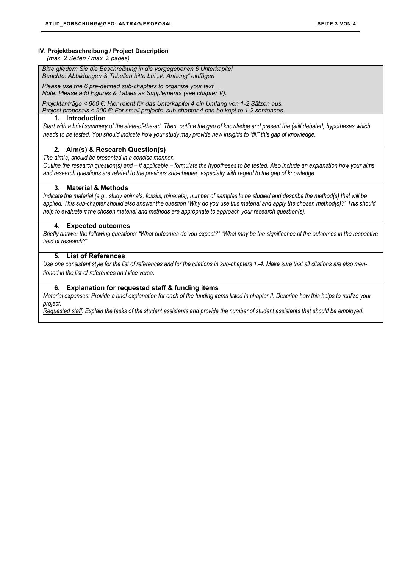#### IV. Projektbeschreibung / Project Description

 *(max. 2 Seiten / max. 2 pages)*

*Bitte gliedern Sie die Beschreibung in die vorgegebenen 6 Unterkapitel Beachte: Abbildungen & Tabellen bitte bei "V. Anhang" einfügen*

*Please use the 6 pre-defined sub-chapters to organize your text. Note: Please add Figures & Tables as Supplements (see chapter V).*

*Projektanträge < 900 €: Hier reicht für das Unterkapitel 4 ein Umfang von 1-2 Sätzen aus.*

*Project proposals < 900 €: For small projects, sub-chapter 4 can be kept to 1-2 sentences.*

## 1. Introduction

*Start with a brief summary of the state-of-the-art. Then, outline the gap of knowledge and present the (still debated) hypotheses which needs to be tested. You should indicate how your study may provide new insights to "fill" this gap of knowledge.*

#### 2. Aim(s) & Research Question(s)

*The aim(s) should be presented in a concise manner.*

*Outline the research question(s) and – if applicable – formulate the hypotheses to be tested. Also include an explanation how your aims and research questions are related to the previous sub-chapter, especially with regard to the gap of knowledge.*

## 3. Material & Methods

*Indicate the material (e.g., study animals, fossils, minerals), number of samples to be studied and describe the method(s) that will be applied. This sub-chapter should also answer the question "Why do you use this material and apply the chosen method(s)?" This should help to evaluate if the chosen material and methods are appropriate to approach your research question(s).*

## 4. Expected outcomes

*Briefly answer the following questions: "What outcomes do you expect?" "What may be the significance of the outcomes in the respective field of research?"*

# 5. List of References

*Use one consistent style for the list of references and for the citations in sub-chapters 1.-4. Make sure that all citations are also mentioned in the list of references and vice versa.*

## 6. Explanation for requested staff & funding items

*Material expenses: Provide a brief explanation for each of the funding items listed in chapter II. Describe how this helps to realize your project.* 

*Requested staff: Explain the tasks of the student assistants and provide the number of student assistants that should be employed.*